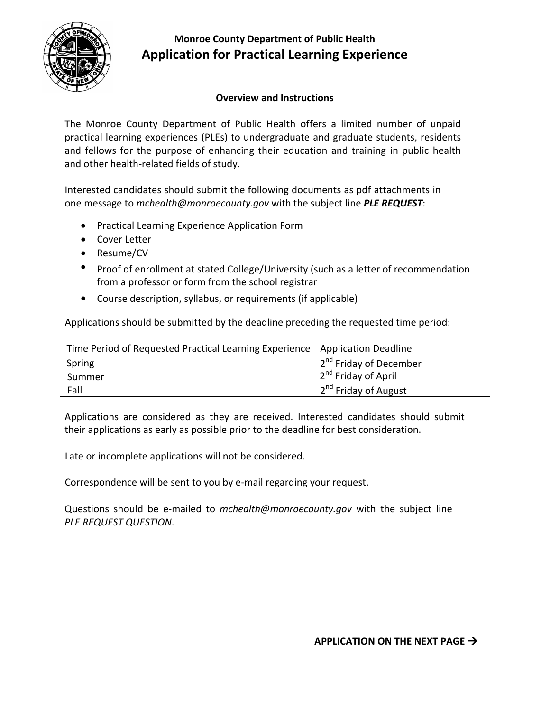

## **Monroe County Department of Public Health Application for Practical Learning Experience**

## **Overview and Instructions**

The Monroe County Department of Public Health offers a limited number of unpaid practical learning experiences (PLEs) to undergraduate and graduate students, residents and fellows for the purpose of enhancing their education and training in public health and other health-related fields of study.

Interested candidates should submit the following documents as pdf attachments in one message to *mchealth@monroecounty.gov* with the subject line *PLE REQUEST*:

- Practical Learning Experience Application Form
- Cover Letter
- Resume/CV
- Proof of enrollment at stated College/University (such as a letter of recommendation from a professor or form from the school registrar
- Course description, syllabus, or requirements (if applicable)

Applications should be submitted by the deadline preceding the requested time period:

| Time Period of Requested Practical Learning Experience   Application Deadline |                                    |
|-------------------------------------------------------------------------------|------------------------------------|
| Spring                                                                        | 2 <sup>nd</sup> Friday of December |
| Summer                                                                        | 2 <sup>nd</sup> Friday of April    |
| Fall                                                                          | 12 <sup>nd</sup> Friday of August  |

Applications are considered as they are received. Interested candidates should submit their applications as early as possible prior to the deadline for best consideration.

Late or incomplete applications will not be considered.

Correspondence will be sent to you by e-mail regarding your request.

Questions should be e-mailed to *mchealth@monroecounty.gov* with the subject line *PLE REQUEST QUESTION*.